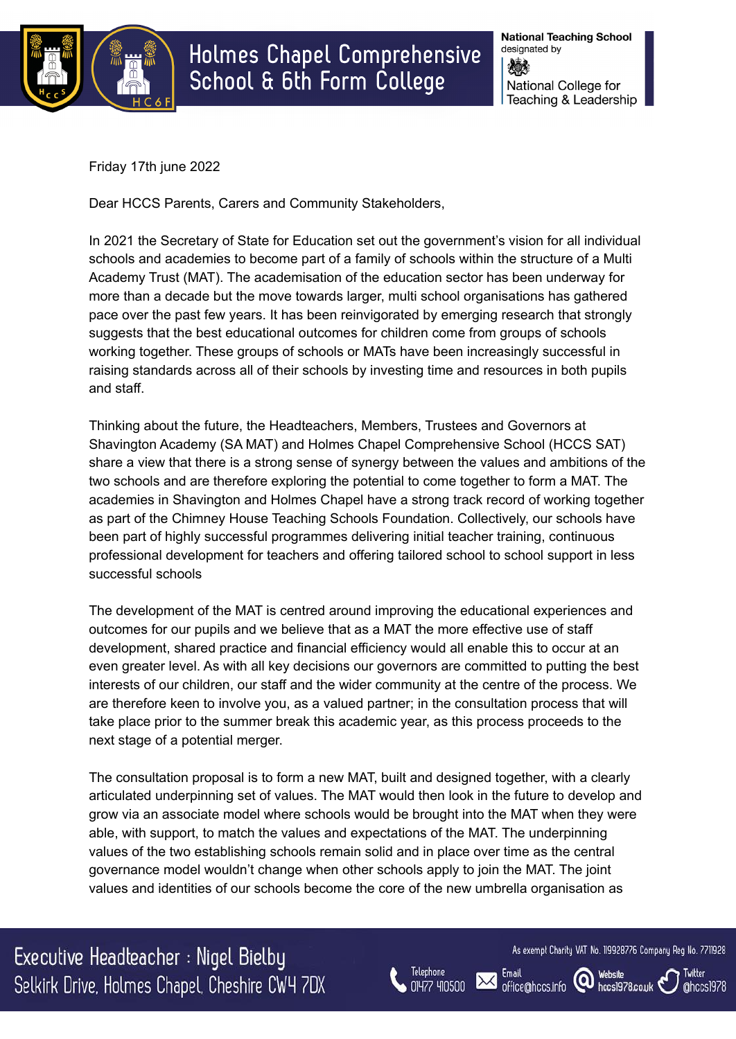

**National Teaching School** designated by ▓ National College for Teaching & Leadership

Friday 17th june 2022

Dear HCCS Parents, Carers and Community Stakeholders,

In 2021 the Secretary of State for Education set out the government's vision for all individual schools and academies to become part of a family of schools within the structure of a Multi Academy Trust (MAT). The academisation of the education sector has been underway for more than a decade but the move towards larger, multi school organisations has gathered pace over the past few years. It has been reinvigorated by emerging research that strongly suggests that the best educational outcomes for children come from groups of schools working together. These groups of schools or MATs have been increasingly successful in raising standards across all of their schools by investing time and resources in both pupils and staff.

Thinking about the future, the Headteachers, Members, Trustees and Governors at Shavington Academy (SA MAT) and Holmes Chapel Comprehensive School (HCCS SAT) share a view that there is a strong sense of synergy between the values and ambitions of the two schools and are therefore exploring the potential to come together to form a MAT. The academies in Shavington and Holmes Chapel have a strong track record of working together as part of the Chimney House Teaching Schools Foundation. Collectively, our schools have been part of highly successful programmes delivering initial teacher training, continuous professional development for teachers and offering tailored school to school support in less successful schools

The development of the MAT is centred around improving the educational experiences and outcomes for our pupils and we believe that as a MAT the more effective use of staff development, shared practice and financial efficiency would all enable this to occur at an even greater level. As with all key decisions our governors are committed to putting the best interests of our children, our staff and the wider community at the centre of the process. We are therefore keen to involve you, as a valued partner; in the consultation process that will take place prior to the summer break this academic year, as this process proceeds to the next stage of a potential merger.

The consultation proposal is to form a new MAT, built and designed together, with a clearly articulated underpinning set of values. The MAT would then look in the future to develop and grow via an associate model where schools would be brought into the MAT when they were able, with support, to match the values and expectations of the MAT. The underpinning values of the two establishing schools remain solid and in place over time as the central governance model wouldn't change when other schools apply to join the MAT. The joint values and identities of our schools become the core of the new umbrella organisation as

Executive Headteacher : Nigel Bielby Selkirk Drive, Holmes Chapel, Cheshire CW4 7DX



Email

office@hccs.info

As exempt Charity VAT No. 119928776 Company Reg No. 7711928

hccs1978.co.uk

**Website** 

(Q)

Twitter

@hccs1978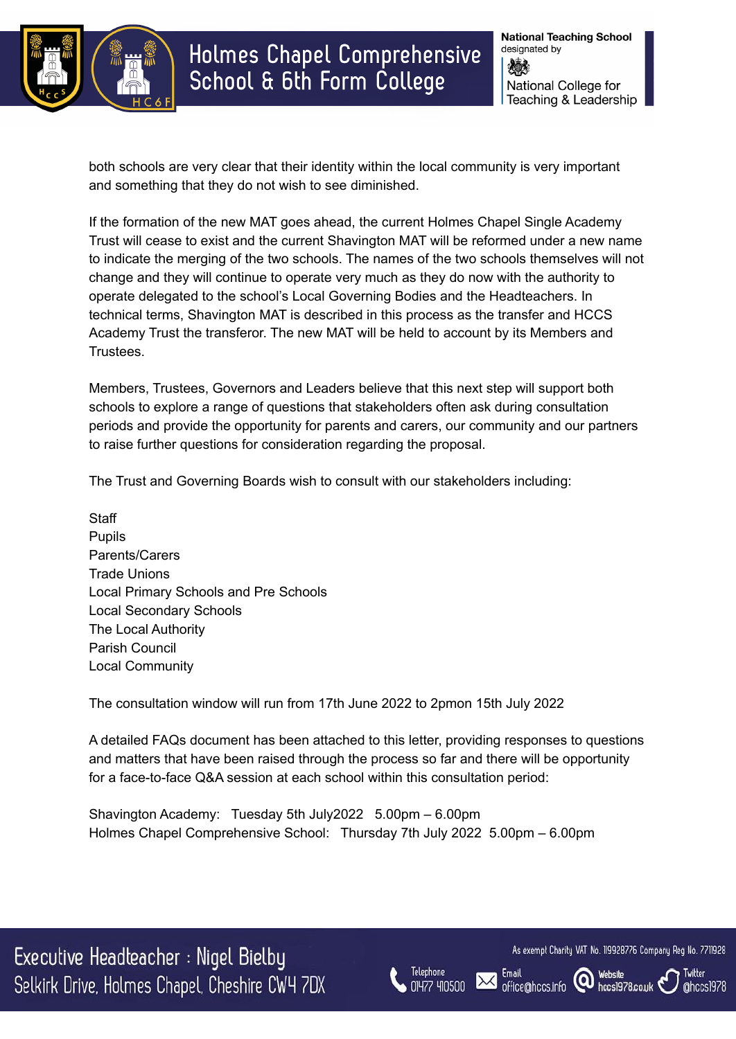

Holmes Chapel Comprehensive School & 6th Form College

both schools are very clear that their identity within the local community is very important and something that they do not wish to see diminished.

If the formation of the new MAT goes ahead, the current Holmes Chapel Single Academy Trust will cease to exist and the current Shavington MAT will be reformed under a new name to indicate the merging of the two schools. The names of the two schools themselves will not change and they will continue to operate very much as they do now with the authority to operate delegated to the school's Local Governing Bodies and the Headteachers. In technical terms, Shavington MAT is described in this process as the transfer and HCCS Academy Trust the transferor. The new MAT will be held to account by its Members and Trustees.

Members, Trustees, Governors and Leaders believe that this next step will support both schools to explore a range of questions that stakeholders often ask during consultation periods and provide the opportunity for parents and carers, our community and our partners to raise further questions for consideration regarding the proposal.

The Trust and Governing Boards wish to consult with our stakeholders including:

**Staff** Pupils Parents/Carers Trade Unions Local Primary Schools and Pre Schools Local Secondary Schools The Local Authority Parish Council Local Community

The consultation window will run from 17th June 2022 to 2pmon 15th July 2022

A detailed FAQs document has been attached to this letter, providing responses to questions and matters that have been raised through the process so far and there will be opportunity for a face-to-face Q&A session at each school within this consultation period:

Shavington Academy: Tuesday 5th July2022 5.00pm – 6.00pm Holmes Chapel Comprehensive School: Thursday 7th July 2022 5.00pm – 6.00pm

Executive Headteacher : Nigel Bielby Selkirk Drive, Holmes Chapel, Cheshire CW4 7DX



Email

office@hccs.info

As exempt Charity VAT No. 119928776 Company Reg No. 7711928

hccs1978.co.uk

Website

(Q)

Twitter

@hccs1978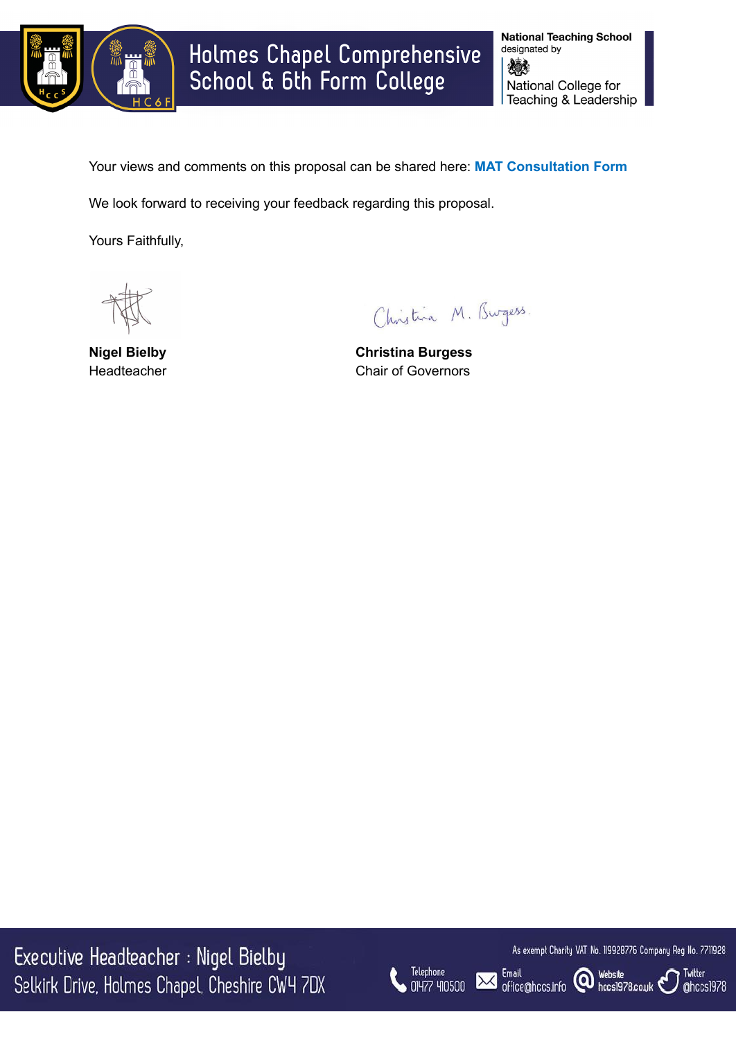

**National Teaching School** designated by 燃料 National College for Teaching & Leadership

Your views and comments on this proposal can be shared here: **MAT [Consultation](https://forms.office.com/r/mrWmWWXVYN) Form**

We look forward to receiving your feedback regarding this proposal.

Yours Faithfully,

Christina M. Burgess.

**Nigel Bielby Christina Burgess** Headteacher **Chair of Governors** 

Executive Headteacher : Nigel Bielby Selkirk Drive, Holmes Chapel, Cheshire CW4 7DX



As exempt Charity VAT No. 119928776 Company Reg No. 7711928

Twitter

@hccs1978

Email<br>office@hccs.info @ Website<br>office@hccs.info @ hccs1978.co.uk

**Email** 

 $\mathbf{X}$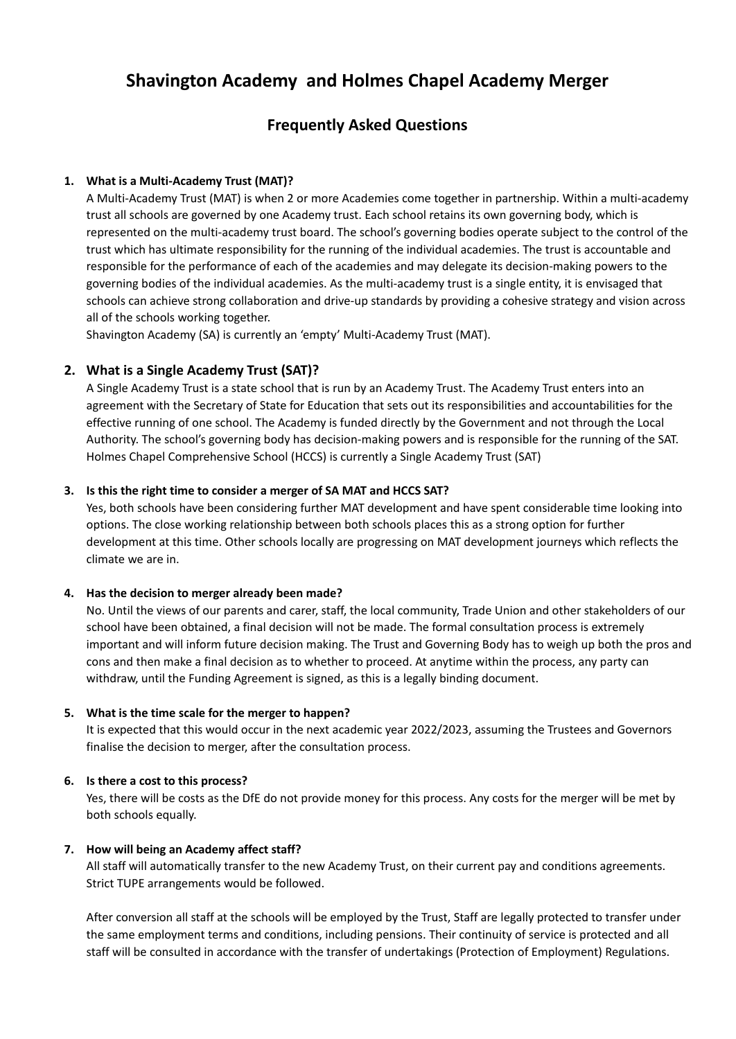# **Shavington Academy and Holmes Chapel Academy Merger**

# **Frequently Asked Questions**

# **1. What is a Multi-Academy Trust (MAT)?**

A Multi-Academy Trust (MAT) is when 2 or more Academies come together in partnership. Within a multi-academy trust all schools are governed by one Academy trust. Each school retains its own governing body, which is represented on the multi-academy trust board. The school's governing bodies operate subject to the control of the trust which has ultimate responsibility for the running of the individual academies. The trust is accountable and responsible for the performance of each of the academies and may delegate its decision-making powers to the governing bodies of the individual academies. As the multi-academy trust is a single entity, it is envisaged that schools can achieve strong collaboration and drive-up standards by providing a cohesive strategy and vision across all of the schools working together.

Shavington Academy (SA) is currently an 'empty' Multi-Academy Trust (MAT).

# **2. What is a Single Academy Trust (SAT)?**

A Single Academy Trust is a state school that is run by an Academy Trust. The Academy Trust enters into an agreement with the Secretary of State for Education that sets out its responsibilities and accountabilities for the effective running of one school. The Academy is funded directly by the Government and not through the Local Authority. The school's governing body has decision-making powers and is responsible for the running of the SAT. Holmes Chapel Comprehensive School (HCCS) is currently a Single Academy Trust (SAT)

# **3. Is this the right time to consider a merger of SA MAT and HCCS SAT?**

Yes, both schools have been considering further MAT development and have spent considerable time looking into options. The close working relationship between both schools places this as a strong option for further development at this time. Other schools locally are progressing on MAT development journeys which reflects the climate we are in.

# **4. Has the decision to merger already been made?**

No. Until the views of our parents and carer, staff, the local community, Trade Union and other stakeholders of our school have been obtained, a final decision will not be made. The formal consultation process is extremely important and will inform future decision making. The Trust and Governing Body has to weigh up both the pros and cons and then make a final decision as to whether to proceed. At anytime within the process, any party can withdraw, until the Funding Agreement is signed, as this is a legally binding document.

# **5. What is the time scale for the merger to happen?**

It is expected that this would occur in the next academic year 2022/2023, assuming the Trustees and Governors finalise the decision to merger, after the consultation process.

# **6. Is there a cost to this process?**

Yes, there will be costs as the DfE do not provide money for this process. Any costs for the merger will be met by both schools equally.

# **7. How will being an Academy affect staff?**

All staff will automatically transfer to the new Academy Trust, on their current pay and conditions agreements. Strict TUPE arrangements would be followed.

After conversion all staff at the schools will be employed by the Trust, Staff are legally protected to transfer under the same employment terms and conditions, including pensions. Their continuity of service is protected and all staff will be consulted in accordance with the transfer of undertakings (Protection of Employment) Regulations.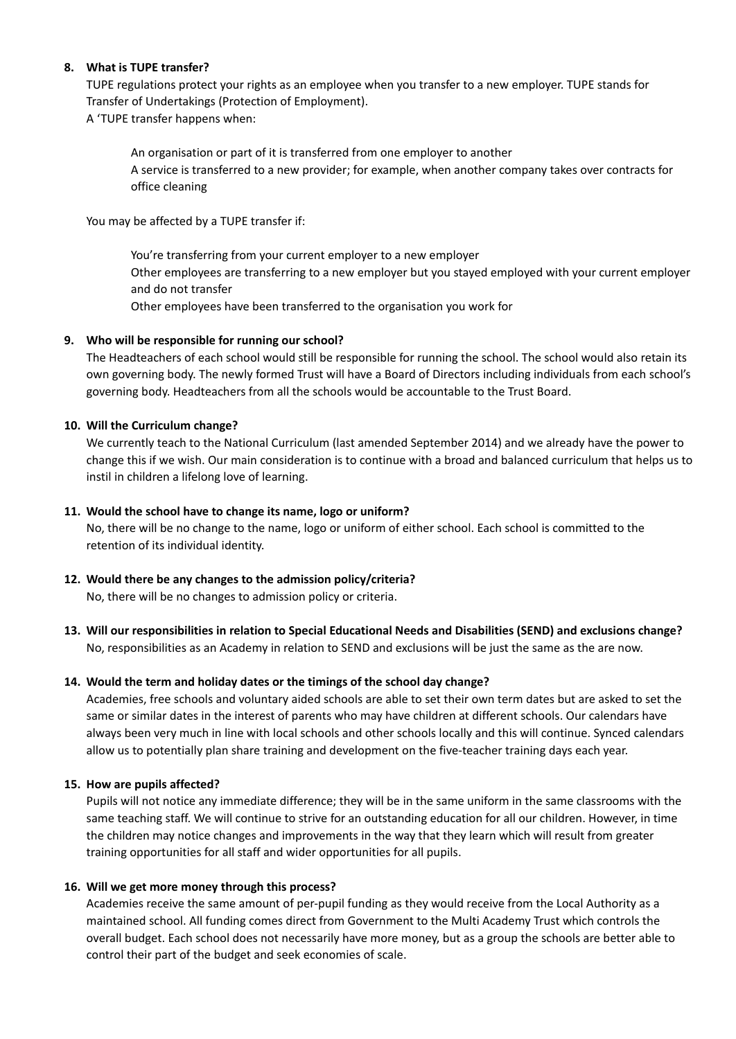# **8. What is TUPE transfer?**

TUPE regulations protect your rights as an employee when you transfer to a new employer. TUPE stands for Transfer of Undertakings (Protection of Employment).

A 'TUPE transfer happens when:

An organisation or part of it is transferred from one employer to another A service is transferred to a new provider; for example, when another company takes over contracts for office cleaning

You may be affected by a TUPE transfer if:

You're transferring from your current employer to a new employer Other employees are transferring to a new employer but you stayed employed with your current employer and do not transfer Other employees have been transferred to the organisation you work for

# **9. Who will be responsible for running our school?**

The Headteachers of each school would still be responsible for running the school. The school would also retain its own governing body. The newly formed Trust will have a Board of Directors including individuals from each school's governing body. Headteachers from all the schools would be accountable to the Trust Board.

# **10. Will the Curriculum change?**

We currently teach to the National Curriculum (last amended September 2014) and we already have the power to change this if we wish. Our main consideration is to continue with a broad and balanced curriculum that helps us to instil in children a lifelong love of learning.

# **11. Would the school have to change its name, logo or uniform?**

No, there will be no change to the name, logo or uniform of either school. Each school is committed to the retention of its individual identity.

# **12. Would there be any changes to the admission policy/criteria?**

No, there will be no changes to admission policy or criteria.

**13. Will our responsibilities in relation to Special Educational Needs and Disabilities (SEND) and exclusions change?** No, responsibilities as an Academy in relation to SEND and exclusions will be just the same as the are now.

# **14. Would the term and holiday dates or the timings of the school day change?**

Academies, free schools and voluntary aided schools are able to set their own term dates but are asked to set the same or similar dates in the interest of parents who may have children at different schools. Our calendars have always been very much in line with local schools and other schools locally and this will continue. Synced calendars allow us to potentially plan share training and development on the five-teacher training days each year.

# **15. How are pupils affected?**

Pupils will not notice any immediate difference; they will be in the same uniform in the same classrooms with the same teaching staff. We will continue to strive for an outstanding education for all our children. However, in time the children may notice changes and improvements in the way that they learn which will result from greater training opportunities for all staff and wider opportunities for all pupils.

# **16. Will we get more money through this process?**

Academies receive the same amount of per-pupil funding as they would receive from the Local Authority as a maintained school. All funding comes direct from Government to the Multi Academy Trust which controls the overall budget. Each school does not necessarily have more money, but as a group the schools are better able to control their part of the budget and seek economies of scale.